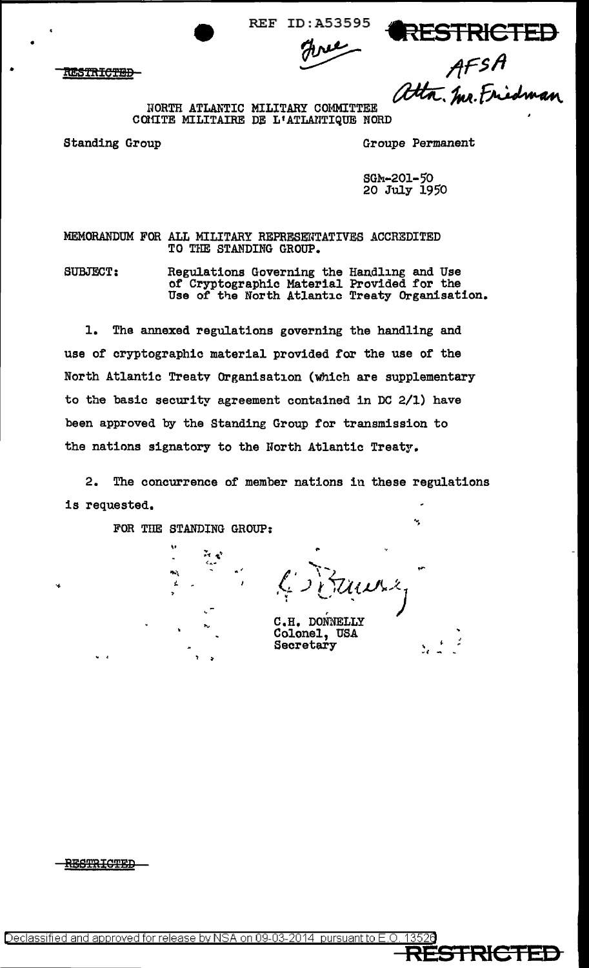**REF ID: A53595** 

**RESTRICTED-**

AFSA<br>Uta. Mr. Friedman

RESTRICTED

NORTH ATLANTIC MILITARY COMMITTEE COMITE MILITAIRE DE L'ATLANTIQUE NORD

Standing Group

Groupe Permanent

SGM-201-50 20 July 1950

MEMORANDUM FOR ALL MILITARY REPRESENTATIVES ACCREDITED TO THE STANDING GROUP.

Regulations Governing the Handling and Use<br>of Cryptographic Material Provided for the<br>Use of the North Atlantic Treaty Organisation. **SUBJECT:** 

 $1.$ The annexed regulations governing the handling and use of cryptographic material provided for the use of the North Atlantic Treaty Organisation (which are supplementary to the basic security agreement contained in DC 2/1) have been approved by the Standing Group for transmission to the nations signatory to the North Atlantic Treaty.

 $2.$ The concurrence of member nations in these regulations is requested.

FOR THE STANDING GROUP:

 $\mathcal{F}(\mathbf{r})$  $\epsilon$ 

C.H. DONNELLY Colonel, USA Secretary

**STRICTER** 

۰.

**RESTRICTED**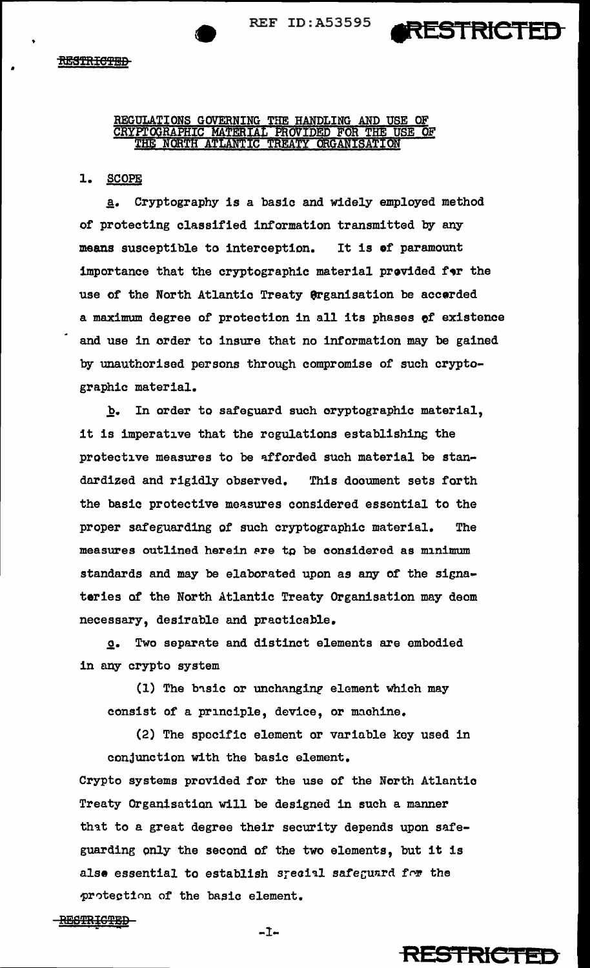•



REGULATIONS GOVERNING THE HANDLING AND USE OF CRYPTOGRAPHIC MATERIAL PROVIDED FOR THE USE OF THE NORTH ATLANTIC TREATY ORGANISATION

## 1. SCOPE

a. Cryptography is a basic and widely employed method of protecting classified information transmitted by any means susceptible to interception. It is of paramount importance that the cryptographic material provided f•r the use *of* the North Atlantic Treaty 9rganisation be accerded a maximum degree of protection in all its phases of existence and use in order to insure that no information may be gained by unauthorised persons through compromise of such cryptographic material.

b. In order to safeguard such oryptographic material, it is imperative that the regulations establishing the protective measures to be afforded such material be standardized and rigidly observed. This document sets forth the basic protective measures considered essential to the proper safeguarding of such cryptographic material. The measures outlined herein are to be considered as minimum standards and may be elaborated upon as any of the signateries of the North Atlantic Treaty Organisation may deem necessary, desirable and practicable.

~· Two separnte and distinct elements are embodied in any crypto system

(1) The basic or unchanging element which may consist of a principle, device, or machine.

(2) The specific element or variable key used in conjunction with the basic element.

Crypto systems provided for the use of the North Atlantia Treaty Organisation will be designed in such a manner that to a great degree their security depends upon safeguarding only the second or the two elements, but it is alse essential to establish srecial safeguard for the protection of the basic element.

BESTRICTED-

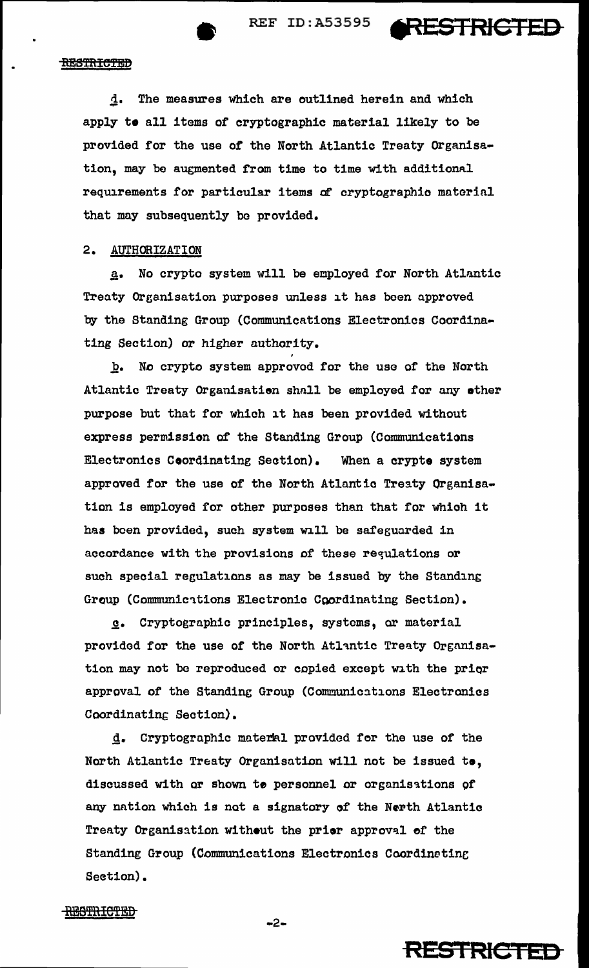



d. The measures which are outlined herein and which apply te all items of cryptographic material likely to be provided for the use of the North Atlantic Treaty Qrganisation, may be augmented from time to time with additional requirements for particular items of cryptographic material that may subsequently bo provided.

# 2. AUTHORIZATION

a. No crypto system will be employed for North Atlantic Treaty Organisation purposes unless it has been approved by the Standing Group (Communications Electronics Coordinating Section) or higher authority.

h. No crypto system approved for the use of the North Atlantic Treaty Organisation shall be employed for any other purpose but that for which it has been provided without express permission of the Standing Group {Communications Electronics Coordinating Seation). When a crypte system approved for the use of the North Atlantic Treaty Organisation is employed for other purposes than that for whioh it has been provided, such system will be safeguarded in accordance with the provisions of these requlations or such special regulations as may be issued by the Standing Group (Communications Electronic Coordinating Section).

~· Cryptogrnphic principles, systems, or material provided for the use of the North Atlantic Treaty Organisation may not be reproduced or copied except with the prior approval of the Standing Group (Communications Electronics Coordinating Section).

d. Cryptographic material provided for the use of the North Atlantic Treaty Organisation will not be issued to, discussed with or shown to personnel or organisations of any nation which is not a signatory of the Nerth Atlantic Treaty Organisation without the prior approval of the Standing Group (Communications Electronics Coordinating Seetion).



REGTRICTED

 $-2-$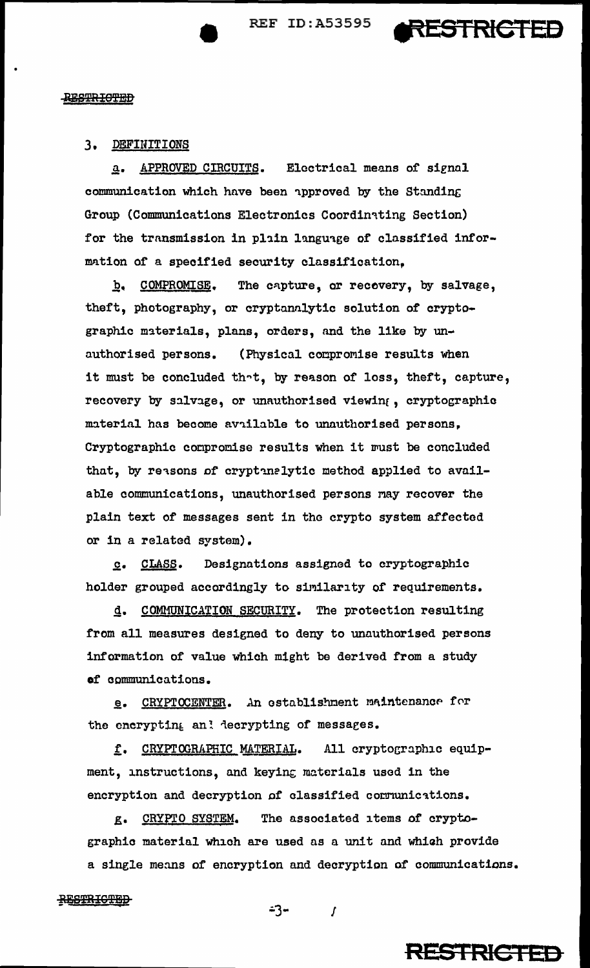**REF ID:A53595** 



#### **RESTRICTED**

# 3. DEFINITIONS

APPROVED CIRCUITS. Electrical means of signal  $\mathbf{a}$ . communication which have been approved by the Standing Group (Communications Electronics Coordinating Section) for the transmission in plain language of classified information of a specified security classification.

b. COMPROMISE. The capture, or recovery, by salvage, theft, photography, or cryptanalytic solution of cryptographic materials, plans, orders, and the like by unauthorised persons. (Physical compromise results when it must be concluded that, by reason of loss, theft, capture, recovery by salvage, or unauthorised viewing, cryptographic material has become available to unauthorised persons, Cryptographic compromise results when it must be concluded that, by reasons of cryptinalytic method applied to available communications, unauthorised persons may recover the plain text of messages sent in the crypto system affected or in a related system).

Designations assigned to cryptographic  $c.$  CLASS. holder grouped accordingly to similarity of requirements.

COMMUNICATION SECURITY. The protection resulting d. from all measures designed to deny to unauthorised persons information of value which might be derived from a study of communications.

CRYPTOCENTER. An establishment maintenance for  $e_{\bullet}$ the encrypting and decrypting of messages.

f. CRYPTOGRAPHIC MATERIAL. All cryptographic equipment, instructions, and keying materials used in the encryption and decryption of classified communications.

CRYPTO SYSTEM. The associated items of crypto- $E$ graphic material which are used as a unit and which provide a single means of encryption and decryption of communications.

#### **RESTRICTED**

 $-3 \overline{I}$ 

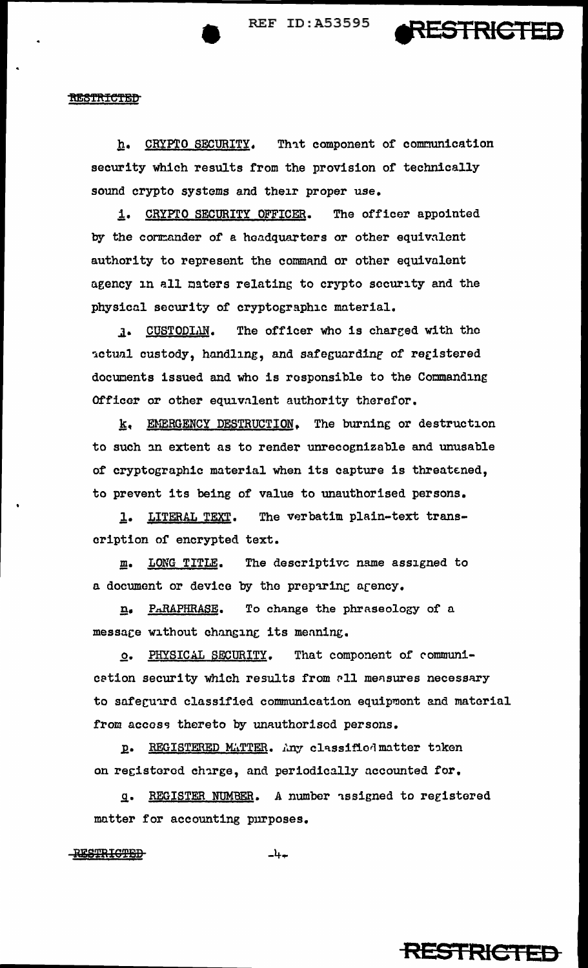**REF ID: A53595** 



#### <u>RESTRICTED</u>

CRYPTO SECURITY. That component of communication  $h_{\bullet}$ security which results from the provision of technically sound crypto systems and their proper use.

1. CRYPTO SECURITY OFFICER. The officer appointed by the cormander of a headquarters or other equivalent authority to represent the command or other equivalent agency in all maters relating to crypto security and the physical security of cryptographic material.

CUSTODIAN. The officer who is charged with the  $\mathbf{1}$ . actual custody, handling, and safeguarding of registered documents issued and who is responsible to the Commanding Officer or other equivalent authority therefor.

k. EMERGENCY DESTRUCTION. The burning or destruction to such an extent as to render unrecognizable and unusable of cryptographic material when its capture is threatened, to prevent its being of value to unauthorised persons.

The verbatim plain-text trans- $\mathbf{1}$ . <u>LITERAL TEXT</u>. cription of encrypted text.

The descriptive name assigned to LONG TITLE. m. a document or device by the preparing agency.

n. PARAPHRASE. To change the phraseology of a message without changing its meaning.

That component of communi-**O. PHYSICAL SECURITY.** cation security which results from all measures necessary to safeguird classified communication equipment and material from access thereto by unauthorised persons.

REGISTERED MATTER. Any classified matter taken  $\mathbf{p}$ . on registered charge, and periodically accounted for.

REGISTER NUMBER. A number assigned to registered  $\overline{q}$ . matter for accounting purposes.

## **RESTRICTED**

 $-4+$ 

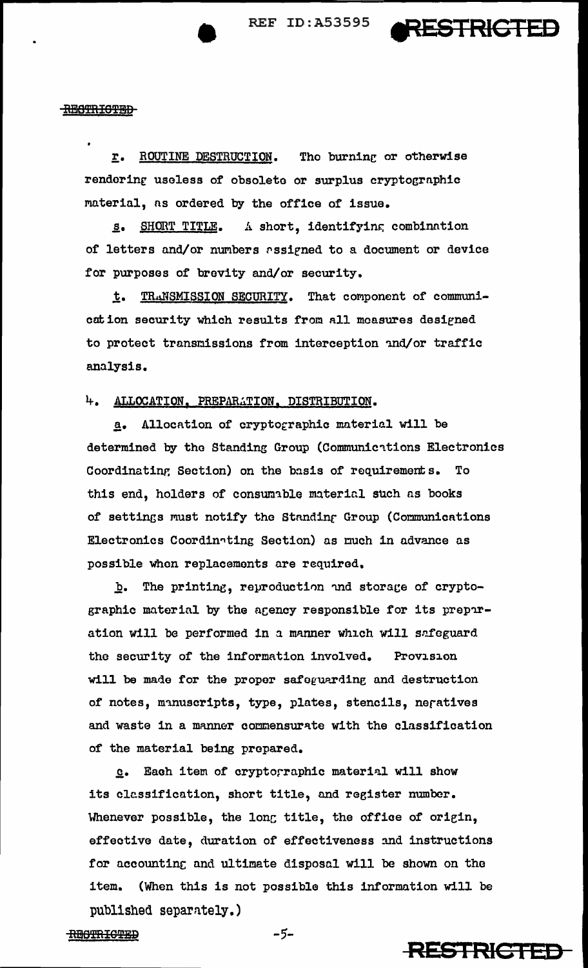

#### **RECTRICTED**

ROUTINE DESTRUCTION. The burning or otherwise  $\mathbf{r}_{\bullet}$ rendering useless of obsolete or surplus cryptographic material, as ordered by the office of issue.

s. SHORT TITLE. A short, identifying combination of letters and/or numbers assigned to a document or device for purposes of brevity and/or security.

TRANSMISSION SECURITY. That component of communit. cation security which results from all measures designed to protect transmissions from interception and/or traffic analysis.

# 4. ALLOCATION, PREPARATION, DISTRIBUTION.

a. Allocation of cryptographic material will be determined by the Standing Group (Communications Electronics Coordinating Section) on the basis of requirements. To this end, holders of consumable material such as books of settings must notify the Standing Group (Communications Electronics Coordinating Section) as much in advance as possible when replacements are required.

The printing, reproduction and storage of cryptob. graphic material by the agency responsible for its preparation will be performed in a manner which will safeguard the security of the information involved. Provision will be made for the proper safeguarding and destruction of notes, manuscripts, type, plates, stencils, negatives and waste in a manner commensurate with the classification of the material being prepared.

Each item of cryptographic material will show  $Q_{\bullet}$ its classification, short title, and register number. Whenever possible, the long title, the office of origin, effective date, duration of effectiveness and instructions for accounting and ultimate disposal will be shown on the item. (When this is not possible this information will be published separately.)



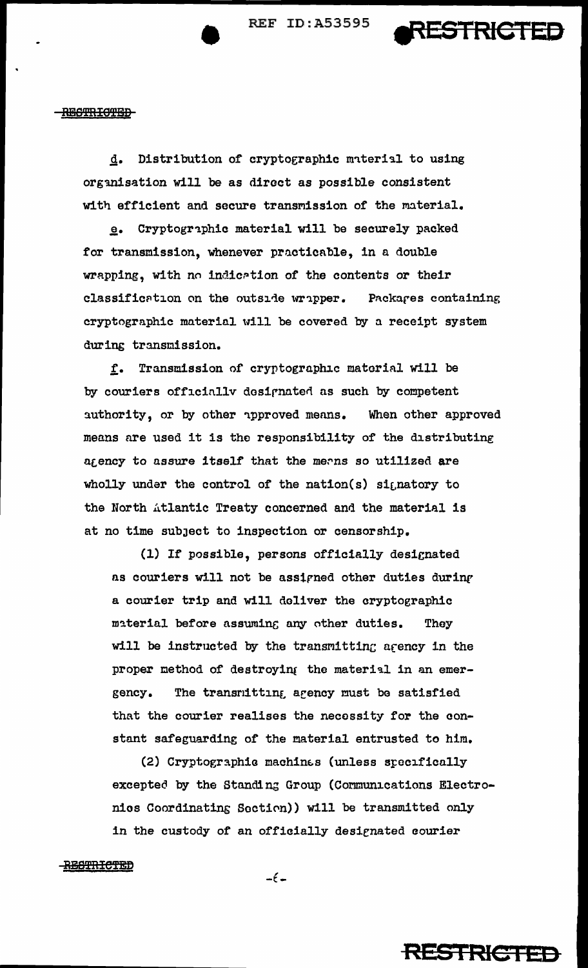

# RESTRICTED

Distribution of cryptographic material to using d. organisation will be as direct as possible consistent with efficient and secure transmission of the material.

Cryptographic material will be securely packed for transmission, whenever practicable, in a double wrapping, with no indication of the contents or their classification on the outside wripper. Packares containing cryptographic material will be covered by a receipt system during transmission.

Transmission of cryptographic material will be  $f_{\bullet}$ by couriers officially designated as such by competent authority, or by other approved means. When other approved means are used it is the responsibility of the distributing agency to assure itself that the means so utilized are wholly under the control of the nation(s) signatory to the North Atlantic Treaty concerned and the material is at no time subject to inspection or censorship.

(1) If possible, persons officially designated as couriers will not be assigned other duties during a courier trip and will deliver the cryptographic material before assuming any other duties. They will be instructed by the transmitting agency in the proper method of destroying the material in an emer-The transmitting agency must be satisfied gency. that the courier realises the necessity for the constant safeguarding of the material entrusted to him.

(2) Cryptographic machines (unless specifically excepted by the Standing Group (Communications Electronios Coordinating Section)) will be transmitted only in the custody of an officially designated courier

<del>RESTRICTED</del>

 $-\epsilon$  –

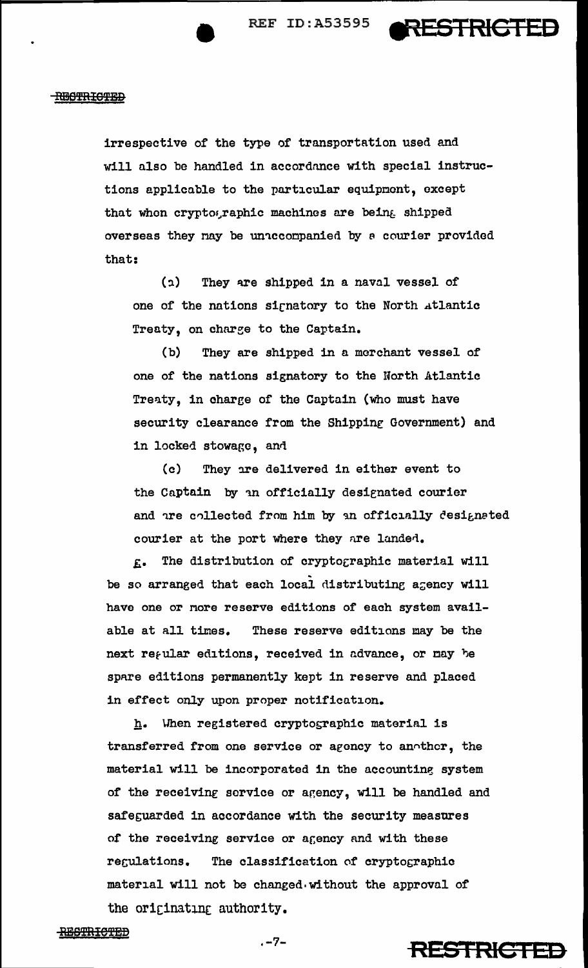

#### **REGTRICTED**

irrespective of the type of transportation used and will also be handled in accordance with special instructions applicable to the particular equipment, except that whon cryptographic machines are being shipped overseas they nay be unaccompanied by a courier provided that:

(1) They are shipped in a naval vessel of one of the nations sicnatory to the North 4tlantic Treaty, on charge to the Captain.

(b) They are shipped in a merchant vessel of one of the nations signatory to the Horth Atlantic Treaty, in charge of the Captain (who must have security clearance from the Shipping Government) and in locked stowage, and

(c) They are delivered in either event to the Captain by an officially designated courier and are collected from him by an officially designated courier at the port where they are landed.

The distribution of cryptographic material will be so arranged that each local distributing agency will have one or nore reserve editions of each system available at all times. These reserve editions may be the next regular editions, received in advance, or may be spare editions permanently kept in reserve and placed in effect only upon proper notification.

 $h.$  When registered cryptographic material is transferred from one service or agency to another, the material will be incorporated in the accounting system of the receiving service or agency, will be handled and safeguarded in accordance with the security measures of the receiving service or agency and with these regulations. The classification of cryptographic material will not be changed without the approval of the originating authority.

**.-7- RES1RICIED**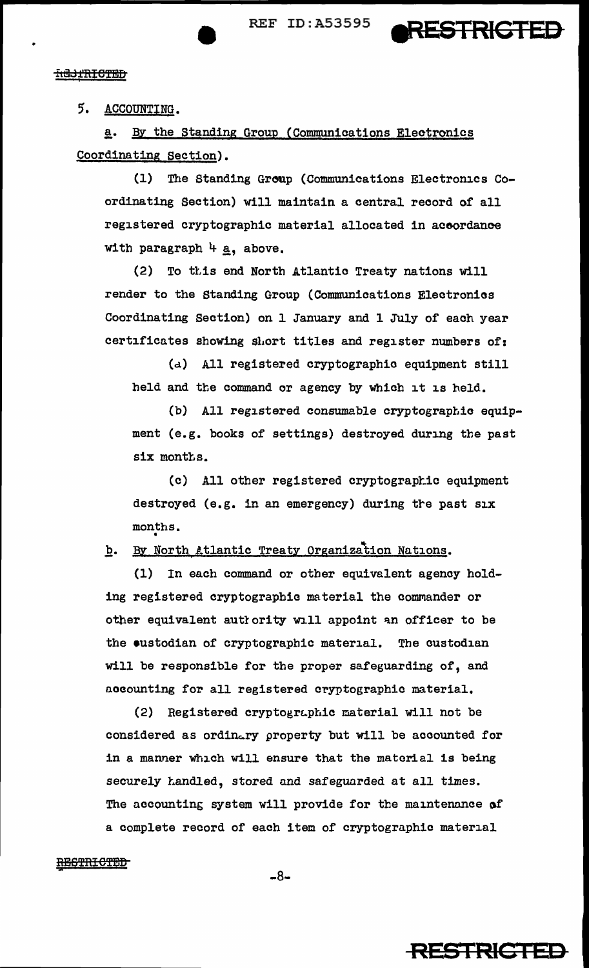

## **HU3THICTED**

# 5. ACCOUNTING.

a. By the Standing Group (Communications Electronics Coordinating Section).

(1) The Standing Group (Communications Electronics Coordinating Section) will maintain a central record of all registered cryptographic material allocated in aceordance with paragraph  $4 \times a$ , above.

(2) To ttis end North Atlantic Treaty nations will render to the Standing Group (Communications Electronias Coordinating Section) on 1 January and 1 July of each year certificates showing short titles and register numbers of:

(d) All registered cryptographic equipment still held and the command or agency by Which it is held.

(b) All registered consumable cryptographic equipment (e.g. books of settings) destroyed during the past six months.

(c) All other registered cryptographic equipment destroyed (e.g. in an emergency) during tre past six months • •

**b.** By North Atlantic Treaty Organization Nations.

(1) In each command or other equivalent agency holding registered cryptographic material the commander or other equivalent authority will appoint an officer to be the •ustodian of cryptographic material. The custodian will be responsible for the proper safeguarding of, and accounting for all registered cryptographic material.

(2) Registered cryptographic material will not be considered as ordinary property but will be accounted for in a manner which will ensure that the material is being securely handled, stored and safeguarded at all times. The accounting system will provide for the maintenance of a complete record of each item of cryptographic material

#### RESTRICTED

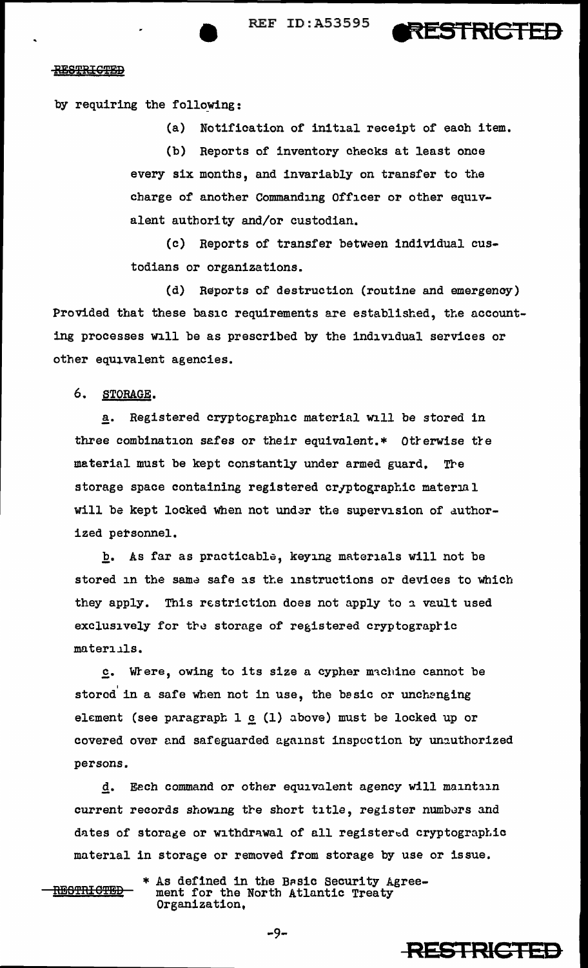REF ID:A53595 **RESTRICTED** 

**RESIRICIED** 

# RESTRIGTED

by requiring the following:

(a) Notification of initial receipt of each item. (b) Reports of inventory checks at least once every six months, and invariably on transfer to the charge of another Commanding Officer or other equivalent authority and/or custodian.

(c) Reports of transfer between individual custodians or organizations.

(d) Reports of destruction (routine and emergenoy) Provided that these basic requirements are established, the accounting processes will be as prescribed by the individual services or other equivalent agencies.

6. STORAGE.

a. Registered cryptographic material will be stored in three combination safes or their equivalent.\* Otrerwise tre material must be kept constantly under armed guard. Tre storage space containing registered cryptographic material will be kept locked when not under the supervision of authorized personnel.

£. As far as practicable, keying materials will not be stored in the same safe as the instructions or devices to which they apply. This restriction does not apply to a vault used exclusively for the storage of registered cryptographic materiils.

.£• wtere, owing to its size a cypher m'l.chinc cannot be stored in a safe when not in use, the basic or unchanging element (see paragraph  $1 \circ (1)$  above) must be locked up or covered over and safeguarded against inspection by unauthorized persons.

d. Eech command or other equivalent agency will maintain current records showing the short title, register numbers and dates of storage or withdrawal of all registered cryptographic material in storage or removed from storage by use or issue.

**RESTRICTED \* As defined in the Basic Security Agree-<br>RESTRICTED – ment for the North Atlantic Treaty** ment for the North Atlantic Treaty Organization,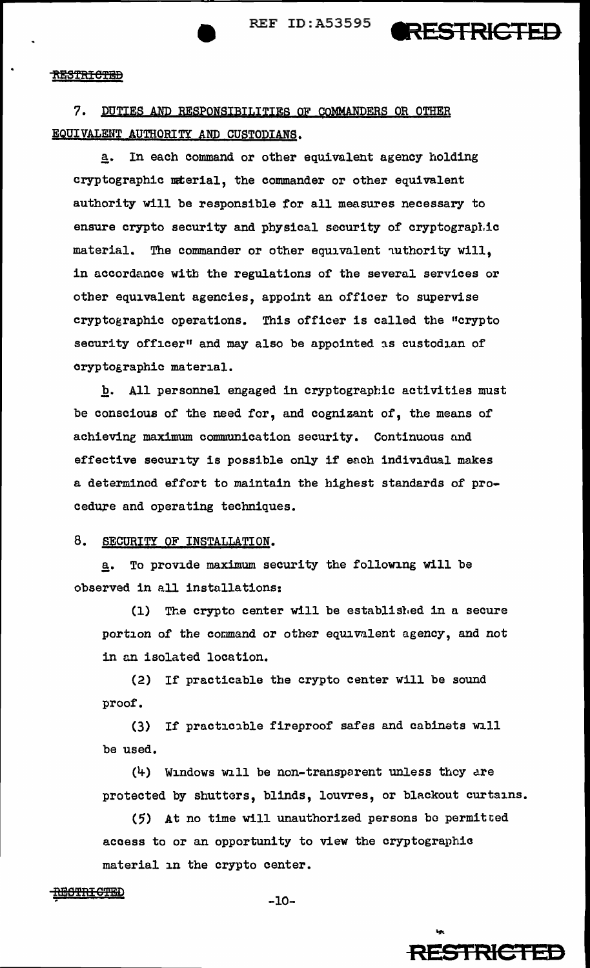REF ID:A53595 **@RESTRICTED** 



7. DUTIES AND RESPONSIBILITIES OF COMMANDERS OR OTHER EQUIVALENT AUTHORITY AND CUSTODIANS.

a. In each command or other equivalent agency holding cryptographic mterial, the commander or other equivalent authority will be responsible for all measures necessary to ensure crypto security and physical security of cryptograpl.ic material. The commander or other equivalent uthority will, in accordance with the regulations of the several services or other equivalent agencies, appoint an officer to supervise cryptographic operations. This officer is called the "crypto security officer" and may also be appointed as custodian of oryptographic material.

b. All personnel engaged in cryptographic activities must be conscious of the need for, and cognizant of, the means of achieving maximum communication security. Continuous and effective security is possible only if each individual makes a determined effort to maintain the highest standards of procedure and operating techniques.

# 8. SECURITY OF INSTALLATION.

a. To provide maximum security the following will be observed in all installations:

(1) The crypto center will be establisl.ed in a secure portion of the command or other equivalent agency, and not in an isolated location.

(2) If practicable the crypto center will be sound proof.

(3) If practicible fireproof safes and cabinets will be used.

 $(4)$  Windows will be non-transparent unless they are protected by shutters, blinds, louvres, or blackout curtains.

(5) At no time will unauthorized persons be permitted access to or an opportunity to view the cryptographia material in the crypto center.

## RE<del>STRICTE</del>D <u>10091111 01100</u><br>-10-

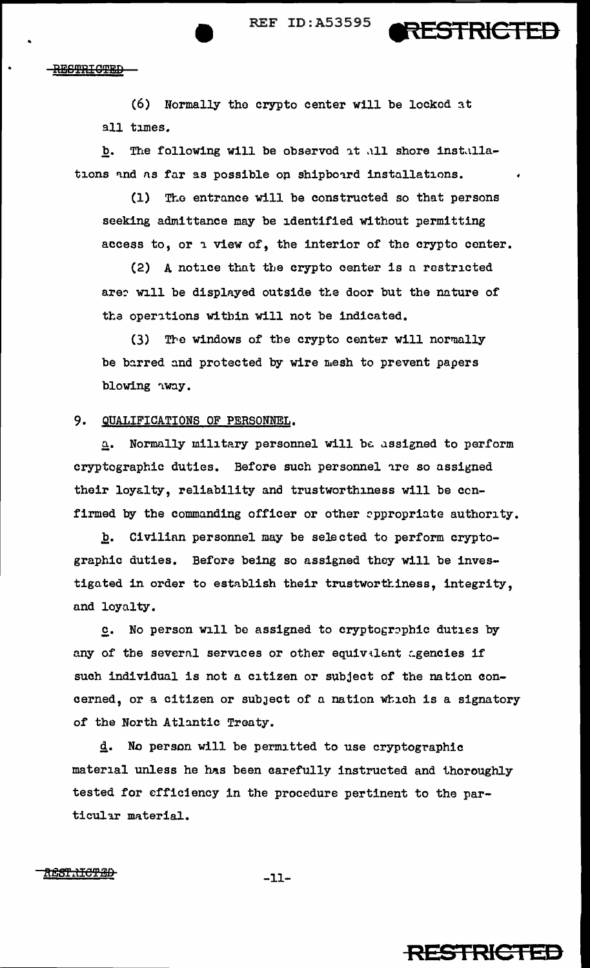RESTRICTED

**RESTRIGTED** 

 $(6)$  Normally the crypto center will be locked at all times.

b. The following will be observed at all shore installations and as far as possible on shipboard installations.

(1) The entrance will be constructed so that persons seeking admittance may be identified Without permitting access to, or a view of, the interior of the crypto center.

(2) A notice that the crypto center is a restricted are? will be displayed outside the door but the nature of the operations within will not be indicated.

(3) The windows of the crypto center will normally be barred and protected by wire mesh to prevent papers blowing way.

# 9. QUALIFICATIONS OF PERSONNEL.

 $a$ . Normally military personnel will be assigned to perform cryptographic duties. Before such personnel are so assigned their loyalty, reliability and trustworthiness will be ccnfirmed by the commanding officer or other eppropriate authority.

b. Civilian personnel may be selected to perform cryptographic duties. Before being so assigned they will be investigated in order to establish their trustworthiness, integrity, and loyalty.

c. No person will be assigned to cryptographic duties by any of the several services or other equivilent agencies if such individual is not a citizen or subject of the nation concerned, or a citizen or subject of a nation which is a signatory of the North Atlantic Treaty.

 $d.$  No person will be permitted to use cryptographic material unless he has been carefully instructed and thoroughly tested for efficiency in the procedure pertinent to the particular material.

<u>REST.<del>NCTED</del></u>

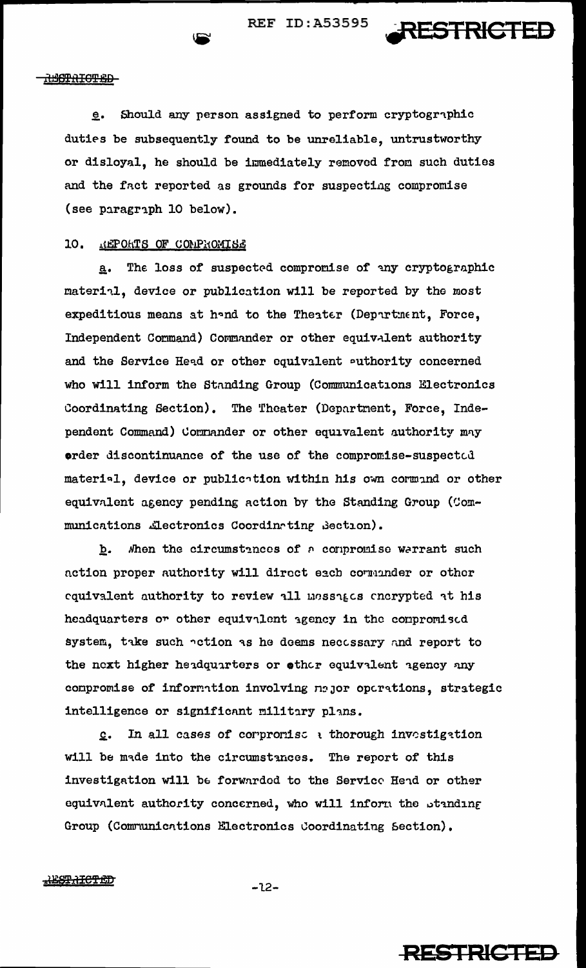

#### **RETRICTED**

e. Should any person assigned to perform cryptographic duties be subsequently found to be unreliable, untrustworthy or disloyal, he should be immediately removed froa such duties and the fact reported as grounds for suspecting compromise (see paragraph 10 below).

# 10. HEPOHTS OF CONPROMISE

a. The loss of suspected compromise of any cryptographic material, device or publication will be reported by the most expeditious means at h~nd to the Theater (Departnent, Force, Independent Cormand) Commander or other equivalent authority and the Service Head or other equivalent outhority concerned who will inform the Standing Group (Communications Electronics Coordinating Section). The Theater (Department, Force, Independent Command) Cornander or other equivalent authority may order discontinuance of the use of the compromise-suspected material, device or publication within his own cormand or other equivalent agency pending action by the Standing Group (Communications .Lectronics Coordinating Section).

b. When the circumstances of a compromise warrant such action proper authority will direct each cormander or other cquivalent authority to review all messages encrypted at his headquarters or other equivalent agency in the compromised system, take such action as he doems necessary and report to the next higher headquarters or other equivalent agency any compromise of information involving najor operations, strategic intelligence or significant military plans.

 $c.$  In all cases of corpromise a thorough investigation will be made into the circumstances. The report of this investigation will be forwarded to the Service Head or other equivalent authority concerned, who will inform the standing Group (Communications Electronics Coordinating Section).

<del>IESTRICTED</del>

-12-

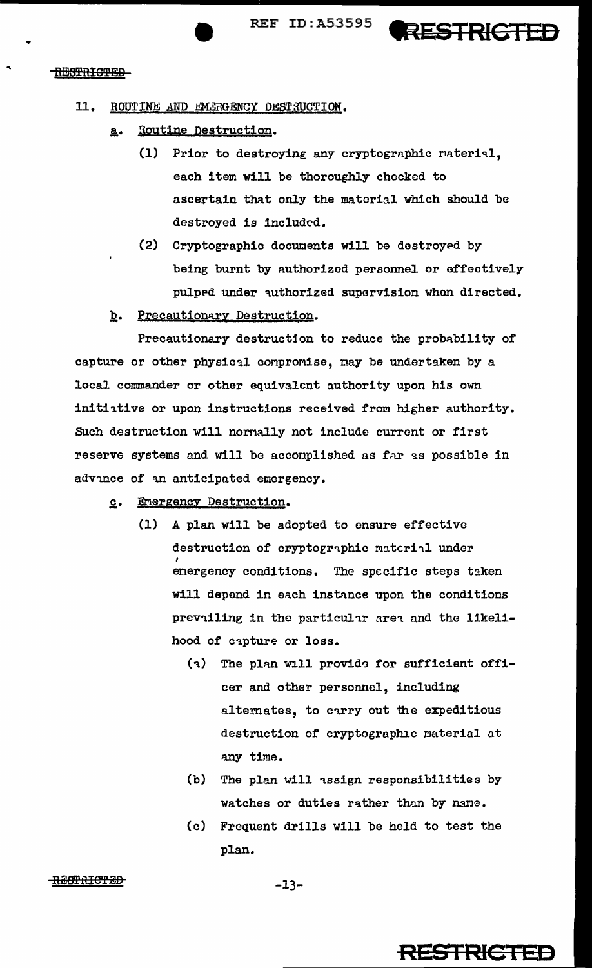**• PERICURE PROPERTY ASSESS PRESTRICTED** 

#### RESTRICTED

## 11. ROUTINE AND EMERGENCY DESTRUCTION.

- a. Routine Destruction.
	- (1) Prior to destroying any cryptographic raterial, each item will be thoroughly chocked to ascertain that only the material which should be destroyed is included.
	- (2) Cryptographic documents will be destroyed by being burnt by authorized personnel or effectively pulped under authorized supervision when directed.
- b. Precautionary Destruction.

Precautionary destruction to reduce the probability of capture or other physical compromise, may be undertaken by a local commander or other equivalent authority upon his own initiative or upon instructions received from higher authority. Buch destruction will nornally not include current or first reserve systems and will be accomplished as far as possible in advince of an anticipated emergency.

- $c.$  Emergency Destruction.
	- (1) A plan will be adopted to ensure effective destruction of cryptographic material under I energency conditions. The specific steps taken will depend in each instance upon the conditions prevailing in the particular area and the likelihood of capture or loss.
		- $(1)$  The plan will provide for sufficient officer and other personnel, including alternates, to carry out the expeditious destruction of cryptographic material at any time.
		- (b) The plan will assign responsibilities by watches or duties rather than by nane.
		- (c) Fraquent drills will be hold to test the plan.

<del>BOTAICTED</del>

# **RESTRICTED**